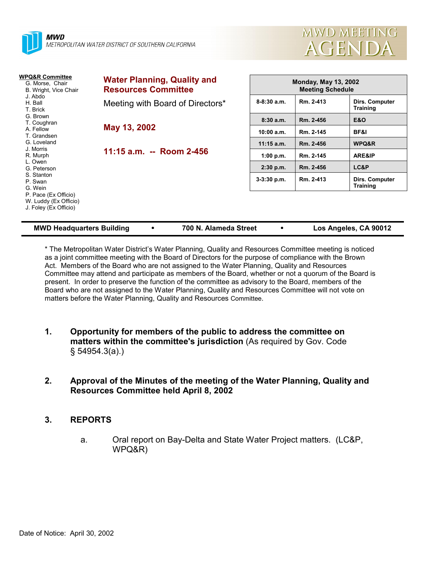



| WPQ&R Committee<br>G. Morse, Chair<br>B. Wright, Vice Chair<br>J. Abdo<br>H. Ball<br>T. Brick<br>G. Brown<br>T. Coughran<br>A. Fellow<br>T. Grandsen<br>G. Loveland<br>J. Morris<br>R. Murph<br>L. Owen<br>G. Peterson<br>S. Stanton<br>P. Swan<br>G. Wein<br>P. Pace (Ex Officio)<br>W. Luddy (Ex Officio)<br>J. Foley (Ex Officio) | <b>Water Planning, Quality and</b><br><b>Resources Committee</b> |                 | <b>Monday, May 13, 2002</b><br><b>Meeting Schedule</b> |                                   |  |  |
|--------------------------------------------------------------------------------------------------------------------------------------------------------------------------------------------------------------------------------------------------------------------------------------------------------------------------------------|------------------------------------------------------------------|-----------------|--------------------------------------------------------|-----------------------------------|--|--|
|                                                                                                                                                                                                                                                                                                                                      | Meeting with Board of Directors*                                 | $8 - 8:30$ a.m. | Rm. 2-413                                              | Dirs. Computer<br><b>Training</b> |  |  |
|                                                                                                                                                                                                                                                                                                                                      | May 13, 2002                                                     | 8:30a.m.        | Rm. 2-456                                              | <b>E&amp;O</b>                    |  |  |
|                                                                                                                                                                                                                                                                                                                                      |                                                                  | 10:00 a.m.      | Rm. 2-145                                              | BF&I                              |  |  |
|                                                                                                                                                                                                                                                                                                                                      | 11:15 a.m. -- Room 2-456                                         | $11:15$ a.m.    | Rm. 2-456                                              | WPQ&R                             |  |  |
|                                                                                                                                                                                                                                                                                                                                      |                                                                  | 1:00 p.m.       | Rm. 2-145                                              | <b>ARE&amp;IP</b>                 |  |  |
|                                                                                                                                                                                                                                                                                                                                      |                                                                  | $2:30$ p.m.     | Rm. 2-456                                              | LC&P                              |  |  |
|                                                                                                                                                                                                                                                                                                                                      |                                                                  | 3-3:30 p.m.     | Rm. 2-413                                              | Dirs. Computer<br><b>Training</b> |  |  |
|                                                                                                                                                                                                                                                                                                                                      |                                                                  |                 |                                                        |                                   |  |  |

| <b>MWD Headquarters Building</b> |  | 700 N. Alameda Street |  | Los Angeles, CA 90012 |
|----------------------------------|--|-----------------------|--|-----------------------|
|----------------------------------|--|-----------------------|--|-----------------------|

\* The Metropolitan Water Districtís Water Planning, Quality and Resources Committee meeting is noticed as a joint committee meeting with the Board of Directors for the purpose of compliance with the Brown Act. Members of the Board who are not assigned to the Water Planning, Quality and Resources Committee may attend and participate as members of the Board, whether or not a quorum of the Board is present. In order to preserve the function of the committee as advisory to the Board, members of the Board who are not assigned to the Water Planning, Quality and Resources Committee will not vote on matters before the Water Planning, Quality and Resources Committee.

- **1. Opportunity for members of the public to address the committee on matters within the committee's jurisdiction** (As required by Gov. Code ß 54954.3(a).)
- **2. Approval of the Minutes of the meeting of the Water Planning, Quality and Resources Committee held April 8, 2002**

# **3. REPORTS**

a. Oral report on Bay-Delta and State Water Project matters. (LC&P, WPQ&R)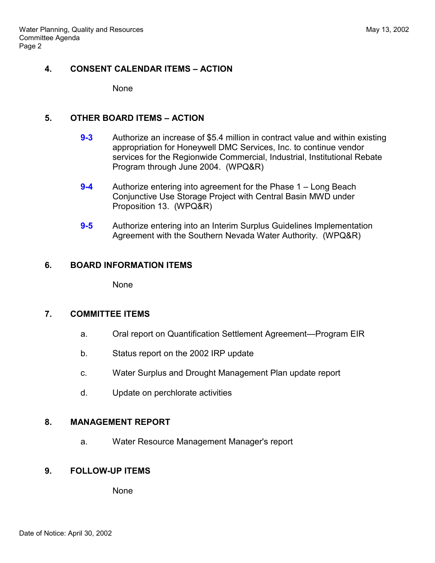# **4. CONSENT CALENDAR ITEMS - ACTION**

None

#### **5. OTHER BOARD ITEMS - ACTION**

- **9-3** Authorize an increase of \$5.4 million in contract value and within existing appropriation for Honeywell DMC Services, Inc. to continue vendor services for the Regionwide Commercial, Industrial, Institutional Rebate Program through June 2004. (WPQ&R)
- **9-4** Authorize entering into agreement for the Phase 1 Long Beach Conjunctive Use Storage Project with Central Basin MWD under Proposition 13. (WPQ&R)
- **9-5** Authorize entering into an Interim Surplus Guidelines Implementation Agreement with the Southern Nevada Water Authority. (WPQ&R)

# **6. BOARD INFORMATION ITEMS**

None

# **7. COMMITTEE ITEMS**

- a. Oral report on Quantification Settlement Agreement—Program EIR
- b. Status report on the 2002 IRP update
- c. Water Surplus and Drought Management Plan update report
- d. Update on perchlorate activities

# **8. MANAGEMENT REPORT**

a. Water Resource Management Manager's report

# **9. FOLLOW-UP ITEMS**

None